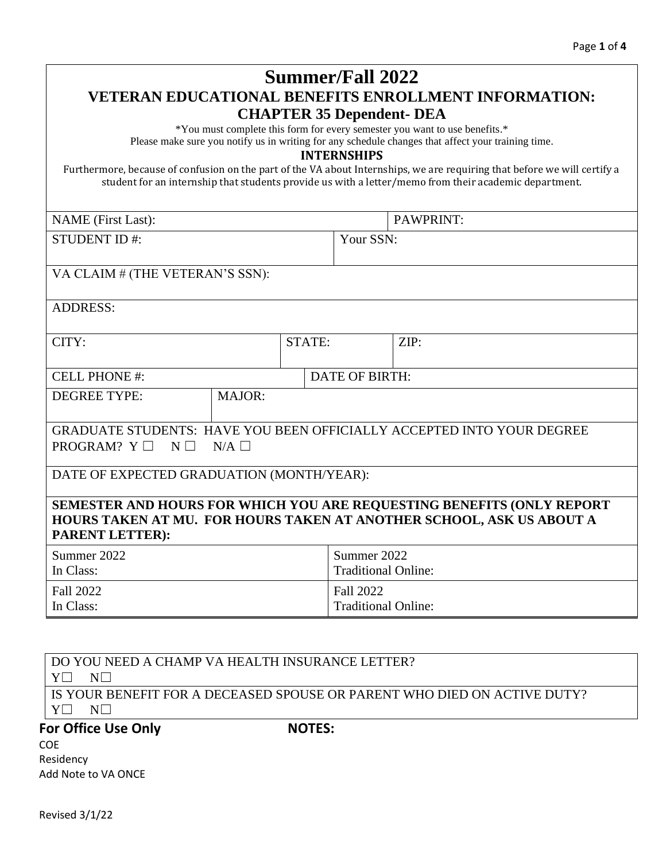|                                                                                                                                                                                                                                    |                 |               | <b>Summer/Fall 2022</b>                        |                                                                                                    |  |  |
|------------------------------------------------------------------------------------------------------------------------------------------------------------------------------------------------------------------------------------|-----------------|---------------|------------------------------------------------|----------------------------------------------------------------------------------------------------|--|--|
| <b>VETERAN EDUCATIONAL BENEFITS ENROLLMENT INFORMATION:</b>                                                                                                                                                                        |                 |               |                                                |                                                                                                    |  |  |
|                                                                                                                                                                                                                                    |                 |               | <b>CHAPTER 35 Dependent- DEA</b>               |                                                                                                    |  |  |
|                                                                                                                                                                                                                                    |                 |               |                                                | *You must complete this form for every semester you want to use benefits.*                         |  |  |
|                                                                                                                                                                                                                                    |                 |               | <b>INTERNSHIPS</b>                             | Please make sure you notify us in writing for any schedule changes that affect your training time. |  |  |
| Furthermore, because of confusion on the part of the VA about Internships, we are requiring that before we will certify a<br>student for an internship that students provide us with a letter/memo from their academic department. |                 |               |                                                |                                                                                                    |  |  |
| <b>NAME</b> (First Last):                                                                                                                                                                                                          |                 |               |                                                | PAWPRINT:                                                                                          |  |  |
| <b>STUDENT ID#:</b>                                                                                                                                                                                                                |                 |               | Your SSN:                                      |                                                                                                    |  |  |
|                                                                                                                                                                                                                                    |                 |               |                                                |                                                                                                    |  |  |
| VA CLAIM # (THE VETERAN'S SSN):                                                                                                                                                                                                    |                 |               |                                                |                                                                                                    |  |  |
| <b>ADDRESS:</b>                                                                                                                                                                                                                    |                 |               |                                                |                                                                                                    |  |  |
| CITY:                                                                                                                                                                                                                              |                 | STATE:        |                                                | ZIP:                                                                                               |  |  |
| <b>CELL PHONE #:</b>                                                                                                                                                                                                               |                 |               | <b>DATE OF BIRTH:</b>                          |                                                                                                    |  |  |
| <b>DEGREE TYPE:</b>                                                                                                                                                                                                                | MAJOR:          |               |                                                |                                                                                                    |  |  |
| GRADUATE STUDENTS: HAVE YOU BEEN OFFICIALLY ACCEPTED INTO YOUR DEGREE<br>PROGRAM? $Y \Box$<br>$N \Box$                                                                                                                             | $N/A$ $\square$ |               |                                                |                                                                                                    |  |  |
| DATE OF EXPECTED GRADUATION (MONTH/YEAR):                                                                                                                                                                                          |                 |               |                                                |                                                                                                    |  |  |
| SEMESTER AND HOURS FOR WHICH YOU ARE REQUESTING BENEFITS (ONLY REPORT<br>HOURS TAKEN AT MU. FOR HOURS TAKEN AT ANOTHER SCHOOL, ASK US ABOUT A<br><b>PARENT LETTER):</b>                                                            |                 |               |                                                |                                                                                                    |  |  |
| Summer 2022<br>In Class:                                                                                                                                                                                                           |                 |               | Summer 2022<br><b>Traditional Online:</b>      |                                                                                                    |  |  |
| <b>Fall 2022</b><br>In Class:                                                                                                                                                                                                      |                 |               | <b>Fall 2022</b><br><b>Traditional Online:</b> |                                                                                                    |  |  |
|                                                                                                                                                                                                                                    |                 |               |                                                |                                                                                                    |  |  |
| DO YOU NEED A CHAMP VA HEALTH INSURANCE LETTER?<br>$N\square$<br>$Y\square$                                                                                                                                                        |                 |               |                                                |                                                                                                    |  |  |
| IS YOUR BENEFIT FOR A DECEASED SPOUSE OR PARENT WHO DIED ON ACTIVE DUTY?<br>$N\square$<br>$Y\square$                                                                                                                               |                 |               |                                                |                                                                                                    |  |  |
| <b>For Office Use Only</b>                                                                                                                                                                                                         |                 | <b>NOTES:</b> |                                                |                                                                                                    |  |  |
| <b>COE</b>                                                                                                                                                                                                                         |                 |               |                                                |                                                                                                    |  |  |
| Residency<br>Add Note to VA ONCE                                                                                                                                                                                                   |                 |               |                                                |                                                                                                    |  |  |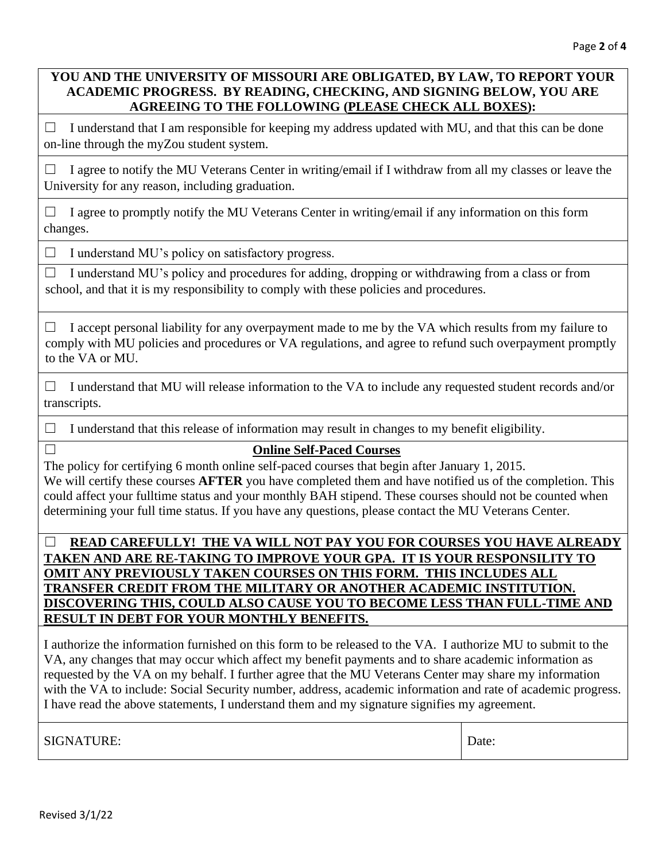# **YOU AND THE UNIVERSITY OF MISSOURI ARE OBLIGATED, BY LAW, TO REPORT YOUR ACADEMIC PROGRESS. BY READING, CHECKING, AND SIGNING BELOW, YOU ARE AGREEING TO THE FOLLOWING (PLEASE CHECK ALL BOXES):**

 $\Box$  I understand that I am responsible for keeping my address updated with MU, and that this can be done on-line through the myZou student system.

 $\Box$  I agree to notify the MU Veterans Center in writing/email if I withdraw from all my classes or leave the University for any reason, including graduation.

 $\Box$  I agree to promptly notify the MU Veterans Center in writing/email if any information on this form changes.

 $\Box$  I understand MU's policy on satisfactory progress.

 $\Box$  I understand MU's policy and procedures for adding, dropping or withdrawing from a class or from school, and that it is my responsibility to comply with these policies and procedures.

 $\Box$  I accept personal liability for any overpayment made to me by the VA which results from my failure to comply with MU policies and procedures or VA regulations, and agree to refund such overpayment promptly to the VA or MU.

 $\Box$  I understand that MU will release information to the VA to include any requested student records and/or transcripts.

 $\Box$  I understand that this release of information may result in changes to my benefit eligibility.

# ☐ **Online Self-Paced Courses**

The policy for certifying 6 month online self-paced courses that begin after January 1, 2015. We will certify these courses **AFTER** you have completed them and have notified us of the completion. This could affect your fulltime status and your monthly BAH stipend. These courses should not be counted when determining your full time status. If you have any questions, please contact the MU Veterans Center.

# ☐ **READ CAREFULLY! THE VA WILL NOT PAY YOU FOR COURSES YOU HAVE ALREADY TAKEN AND ARE RE-TAKING TO IMPROVE YOUR GPA. IT IS YOUR RESPONSILITY TO OMIT ANY PREVIOUSLY TAKEN COURSES ON THIS FORM. THIS INCLUDES ALL TRANSFER CREDIT FROM THE MILITARY OR ANOTHER ACADEMIC INSTITUTION. DISCOVERING THIS, COULD ALSO CAUSE YOU TO BECOME LESS THAN FULL-TIME AND RESULT IN DEBT FOR YOUR MONTHLY BENEFITS.**

I authorize the information furnished on this form to be released to the VA. I authorize MU to submit to the VA, any changes that may occur which affect my benefit payments and to share academic information as requested by the VA on my behalf. I further agree that the MU Veterans Center may share my information with the VA to include: Social Security number, address, academic information and rate of academic progress. I have read the above statements, I understand them and my signature signifies my agreement.

SIGNATURE: Date: Date: Date: Date: Date: Date: Date: Date: Date: Date: Date: Date: Date: Date: Date: Date: Date: Date: Date: Date: Date: Date: Date: Date: Date: Date: Date: Date: Date: Date: Date: Date: Date: Date: Date: D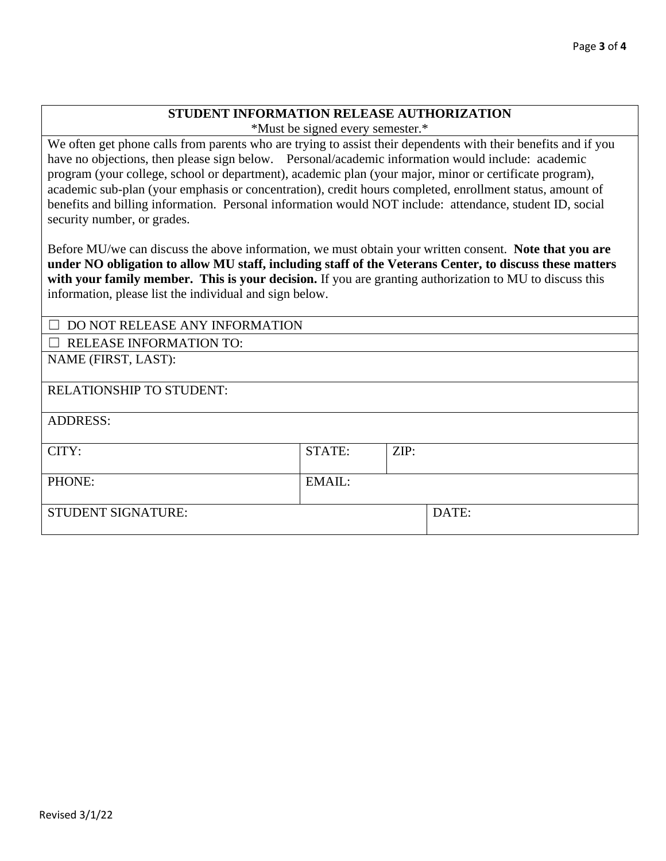### **STUDENT INFORMATION RELEASE AUTHORIZATION**

\*Must be signed every semester.\*

We often get phone calls from parents who are trying to assist their dependents with their benefits and if you have no objections, then please sign below. Personal/academic information would include: academic program (your college, school or department), academic plan (your major, minor or certificate program), academic sub-plan (your emphasis or concentration), credit hours completed, enrollment status, amount of benefits and billing information. Personal information would NOT include: attendance, student ID, social security number, or grades.

Before MU/we can discuss the above information, we must obtain your written consent. **Note that you are under NO obligation to allow MU staff, including staff of the Veterans Center, to discuss these matters with your family member. This is your decision.** If you are granting authorization to MU to discuss this information, please list the individual and sign below.

| $\Box$ DO NOT RELEASE ANY INFORMATION     |        |      |       |  |
|-------------------------------------------|--------|------|-------|--|
| <b>RELEASE INFORMATION TO:</b><br>$\perp$ |        |      |       |  |
| NAME (FIRST, LAST):                       |        |      |       |  |
|                                           |        |      |       |  |
| <b>RELATIONSHIP TO STUDENT:</b>           |        |      |       |  |
| <b>ADDRESS:</b>                           |        |      |       |  |
| CITY:                                     | STATE: | ZIP: |       |  |
| PHONE:                                    | EMAIL: |      |       |  |
| <b>STUDENT SIGNATURE:</b>                 |        |      | DATE: |  |